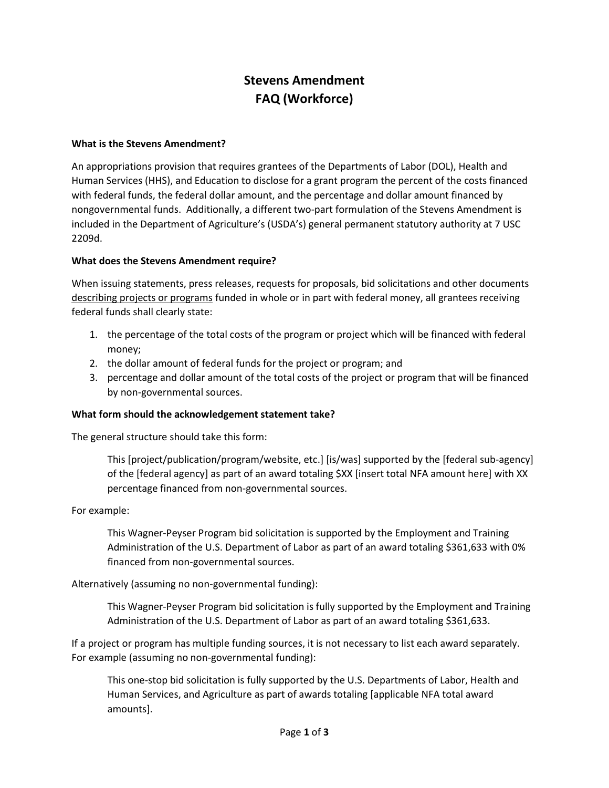# **Stevens Amendment FAQ (Workforce)**

#### **What is the Stevens Amendment?**

An appropriations provision that requires grantees of the Departments of Labor (DOL), Health and Human Services (HHS), and Education to disclose for a grant program the percent of the costs financed with federal funds, the federal dollar amount, and the percentage and dollar amount financed by nongovernmental funds. Additionally, a different two-part formulation of the Stevens Amendment is included in the Department of Agriculture's (USDA's) general permanent statutory authority at 7 USC 2209d.

#### **What does the Stevens Amendment require?**

When issuing statements, press releases, requests for proposals, bid solicitations and other documents describing projects or programs funded in whole or in part with federal money, all grantees receiving federal funds shall clearly state:

- 1. the percentage of the total costs of the program or project which will be financed with federal money;
- 2. the dollar amount of federal funds for the project or program; and
- 3. percentage and dollar amount of the total costs of the project or program that will be financed by non-governmental sources.

#### **What form should the acknowledgement statement take?**

The general structure should take this form:

This [project/publication/program/website, etc.] [is/was] supported by the [federal sub-agency] of the [federal agency] as part of an award totaling \$XX [insert total NFA amount here] with XX percentage financed from non-governmental sources.

#### For example:

This Wagner-Peyser Program bid solicitation is supported by the Employment and Training Administration of the U.S. Department of Labor as part of an award totaling \$361,633 with 0% financed from non-governmental sources.

#### Alternatively (assuming no non-governmental funding):

This Wagner-Peyser Program bid solicitation is fully supported by the Employment and Training Administration of the U.S. Department of Labor as part of an award totaling \$361,633.

If a project or program has multiple funding sources, it is not necessary to list each award separately. For example (assuming no non-governmental funding):

This one-stop bid solicitation is fully supported by the U.S. Departments of Labor, Health and Human Services, and Agriculture as part of awards totaling [applicable NFA total award amounts].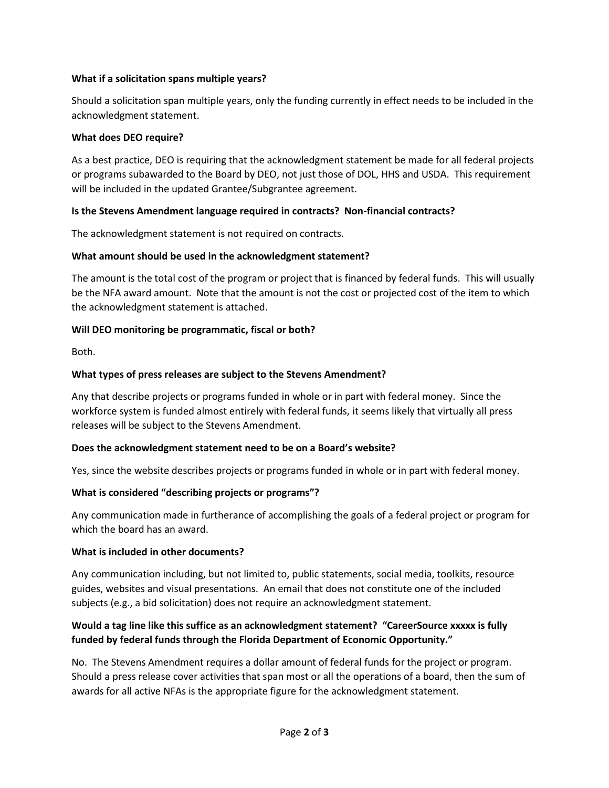# **What if a solicitation spans multiple years?**

Should a solicitation span multiple years, only the funding currently in effect needs to be included in the acknowledgment statement.

#### **What does DEO require?**

As a best practice, DEO is requiring that the acknowledgment statement be made for all federal projects or programs subawarded to the Board by DEO, not just those of DOL, HHS and USDA. This requirement will be included in the updated Grantee/Subgrantee agreement.

# **Is the Stevens Amendment language required in contracts? Non-financial contracts?**

The acknowledgment statement is not required on contracts.

#### **What amount should be used in the acknowledgment statement?**

The amount is the total cost of the program or project that is financed by federal funds. This will usually be the NFA award amount. Note that the amount is not the cost or projected cost of the item to which the acknowledgment statement is attached.

#### **Will DEO monitoring be programmatic, fiscal or both?**

Both.

#### **What types of press releases are subject to the Stevens Amendment?**

Any that describe projects or programs funded in whole or in part with federal money. Since the workforce system is funded almost entirely with federal funds, it seems likely that virtually all press releases will be subject to the Stevens Amendment.

#### **Does the acknowledgment statement need to be on a Board's website?**

Yes, since the website describes projects or programs funded in whole or in part with federal money.

# **What is considered "describing projects or programs"?**

Any communication made in furtherance of accomplishing the goals of a federal project or program for which the board has an award.

#### **What is included in other documents?**

Any communication including, but not limited to, public statements, social media, toolkits, resource guides, websites and visual presentations. An email that does not constitute one of the included subjects (e.g., a bid solicitation) does not require an acknowledgment statement.

# **Would a tag line like this suffice as an acknowledgment statement? "CareerSource xxxxx is fully funded by federal funds through the Florida Department of Economic Opportunity."**

No. The Stevens Amendment requires a dollar amount of federal funds for the project or program. Should a press release cover activities that span most or all the operations of a board, then the sum of awards for all active NFAs is the appropriate figure for the acknowledgment statement.